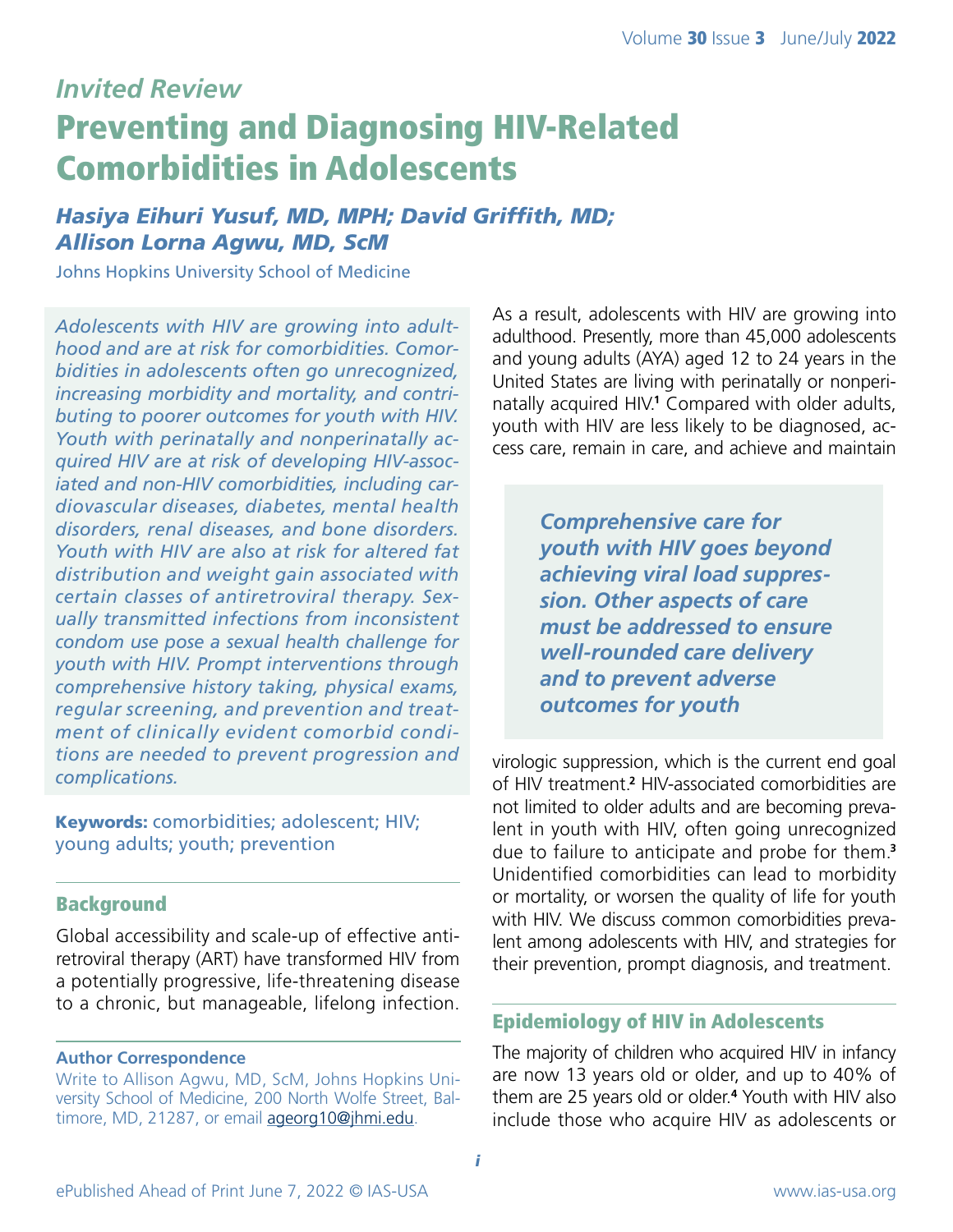# *Invited Review* Preventing and Diagnosing HIV-Related Comorbidities in Adolescents

# *Hasiya Eihuri Yusuf, MD, MPH; David Griffith, MD; Allison Lorna Agwu, MD, ScM*

Johns Hopkins University School of Medicine

*Adolescents with HIV are growing into adulthood and are at risk for comorbidities. Comorbidities in adolescents often go unrecognized, increasing morbidity and mortality, and contributing to poorer outcomes for youth with HIV. Youth with perinatally and nonperinatally acquired HIV are at risk of developing HIV-associated and non-HIV comorbidities, including cardiovascular diseases, diabetes, mental health disorders, renal diseases, and bone disorders. Youth with HIV are also at risk for altered fat distribution and weight gain associated with certain classes of antiretroviral therapy. Sexually transmitted infections from inconsistent condom use pose a sexual health challenge for youth with HIV. Prompt interventions through comprehensive history taking, physical exams, regular screening, and prevention and treatment of clinically evident comorbid conditions are needed to prevent progression and complications.* 

Keywords: comorbidities; adolescent; HIV; young adults; youth; prevention

# Background

Global accessibility and scale-up of effective antiretroviral therapy (ART) have transformed HIV from a potentially progressive, life-threatening disease to a chronic, but manageable, lifelong infection.

#### **Author Correspondence**

Write to Allison Agwu, MD, ScM, Johns Hopkins University School of Medicine, 200 North Wolfe Street, Baltimore, MD, 21287, or email [ageorg10@jhmi.edu.](mailto:ageorg10@jhmi.edu)

As a result, adolescents with HIV are growing into adulthood. Presently, more than 45,000 adolescents and young adults (AYA) aged 12 to 24 years in the United States are living with perinatally or nonperinatally acquired HIV.<sup>1</sup> Compared with older adults, youth with HIV are less likely to be diagnosed, access care, remain in care, and achieve and maintain

> *Comprehensive care for youth with HIV goes beyond achieving viral load suppression. Other aspects of care must be addressed to ensure well-rounded care delivery and to prevent adverse outcomes for youth*

virologic suppression, which is the current end goal of HIV treatment.**<sup>2</sup>** HIV-associated comorbidities are not limited to older adults and are becoming prevalent in youth with HIV, often going unrecognized due to failure to anticipate and probe for them.**<sup>3</sup>** Unidentified comorbidities can lead to morbidity or mortality, or worsen the quality of life for youth with HIV. We discuss common comorbidities prevalent among adolescents with HIV, and strategies for their prevention, prompt diagnosis, and treatment.

#### Epidemiology of HIV in Adolescents

The majority of children who acquired HIV in infancy are now 13 years old or older, and up to 40% of them are 25 years old or older.**<sup>4</sup>** Youth with HIV also include those who acquire HIV as adolescents or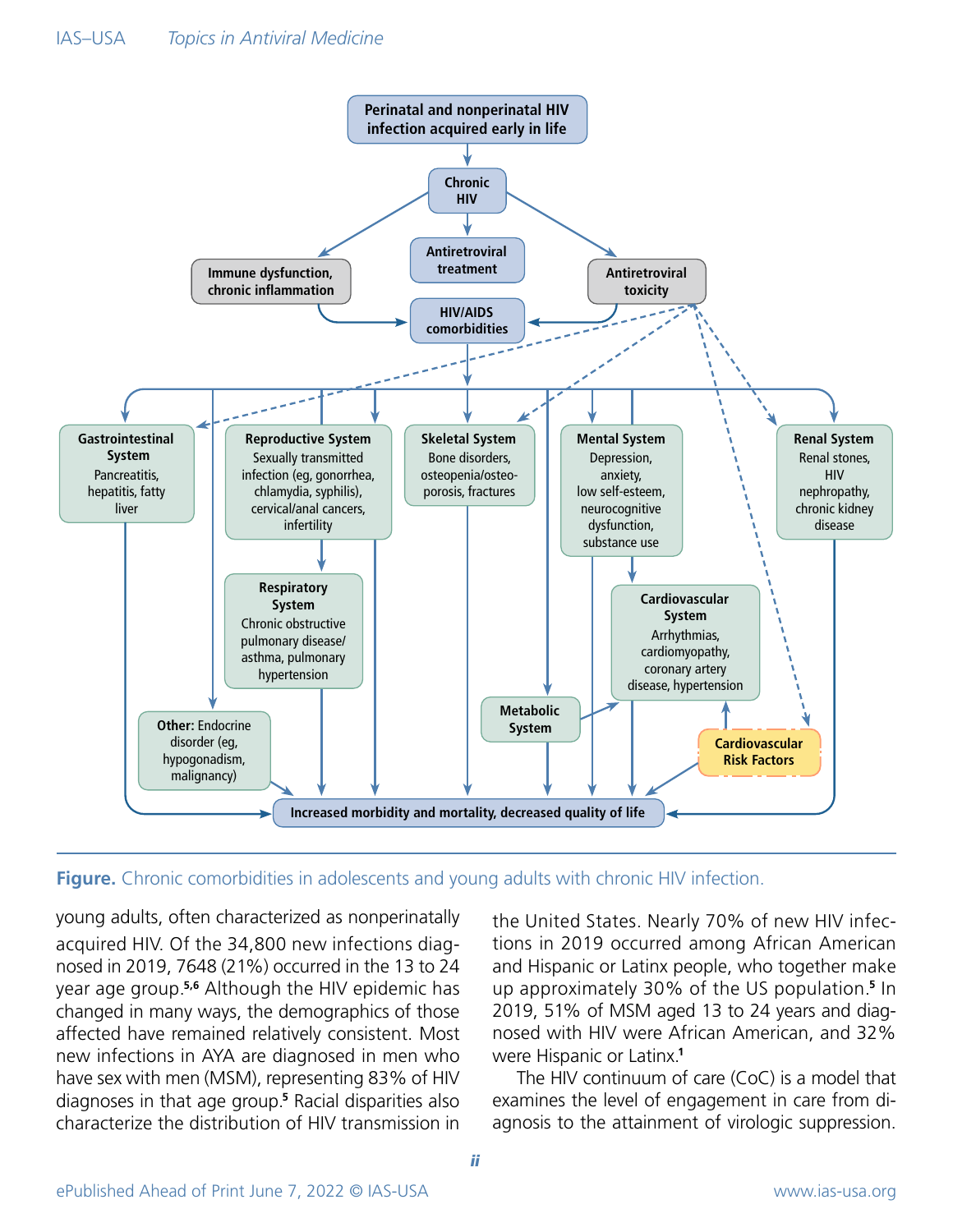



young adults, often characterized as nonperinatally acquired HIV. Of the 34,800 new infections diagnosed in 2019, 7648 (21%) occurred in the 13 to 24 year age group.**5,6** Although the HIV epidemic has changed in many ways, the demographics of those affected have remained relatively consistent. Most new infections in AYA are diagnosed in men who have sex with men (MSM), representing 83% of HIV diagnoses in that age group.**<sup>5</sup>** Racial disparities also characterize the distribution of HIV transmission in

the United States. Nearly 70% of new HIV infections in 2019 occurred among African American and Hispanic or Latinx people, who together make up approximately 30% of the US population.**5** In 2019, 51% of MSM aged 13 to 24 years and diagnosed with HIV were African American, and 32% were Hispanic or Latinx.**<sup>1</sup>**

 The HIV continuum of care (CoC) is a model that examines the level of engagement in care from diagnosis to the attainment of virologic suppression.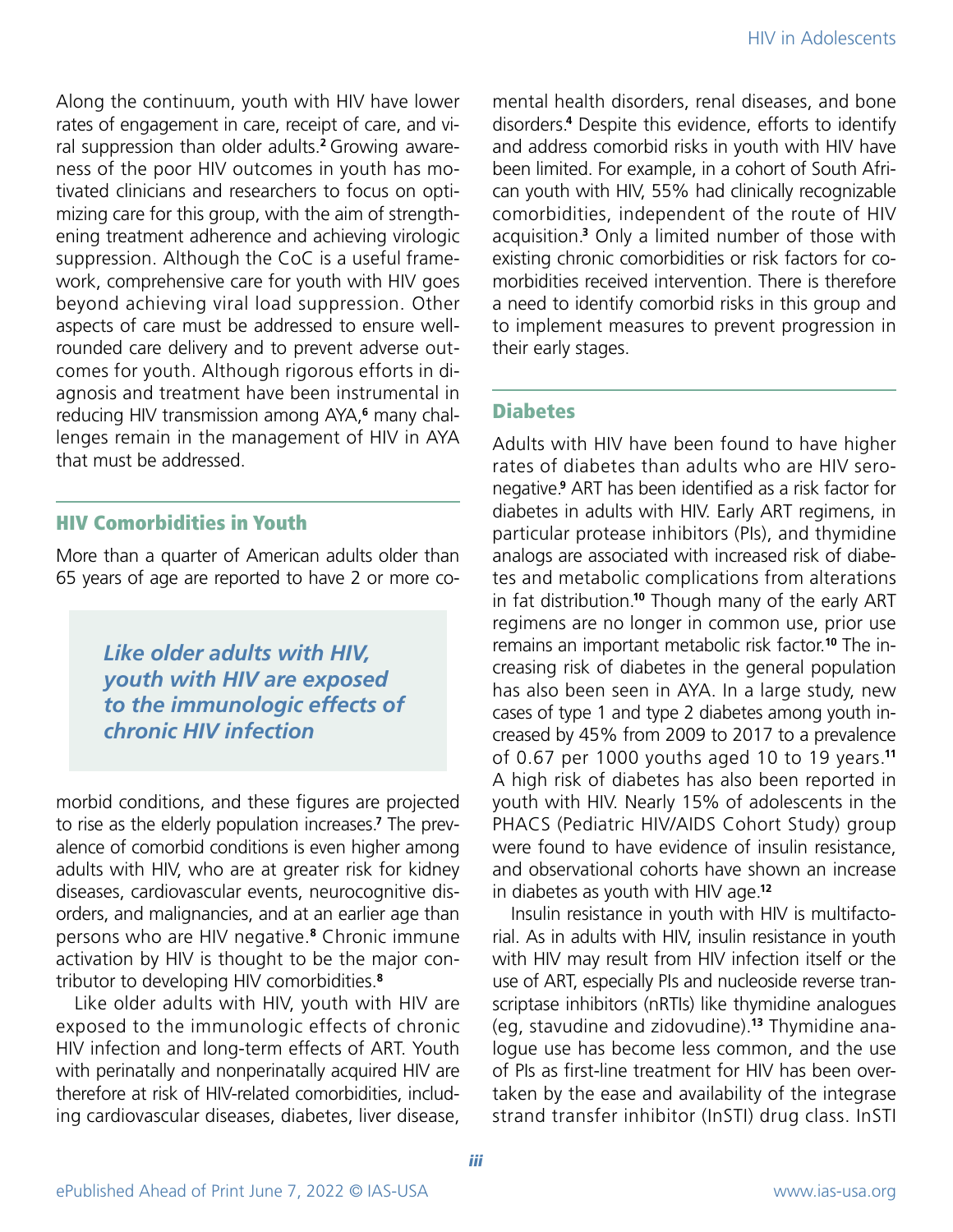Along the continuum, youth with HIV have lower rates of engagement in care, receipt of care, and viral suppression than older adults.**2** Growingawareness of the poor HIV outcomes in youth has motivated clinicians and researchers to focus on optimizing care for this group, with the aim of strengthening treatment adherence and achieving virologic suppression. Although the CoC is a useful framework, comprehensive care for youth with HIV goes beyond achieving viral load suppression. Other aspects of care must be addressed to ensure wellrounded care delivery and to prevent adverse outcomes for youth. Although rigorous efforts in diagnosis and treatment have been instrumental in reducing HIV transmission among AYA,**<sup>6</sup>** many challenges remain in the management of HIV in AYA that must be addressed.

# HIV Comorbidities in Youth

More than a quarter of American adults older than 65 years of age are reported to have 2 or more co-

> *Like older adults with HIV, youth with HIV are exposed to the immunologic effects of chronic HIV infection*

morbid conditions, and these figures are projected to rise as the elderly population increases.**<sup>7</sup>** The prevalence of comorbid conditions is even higher among adults with HIV, who are at greater risk for kidney diseases, cardiovascular events, neurocognitive disorders, and malignancies, and at an earlier age than persons who are HIV negative.**8** Chronic immune activation by HIV is thought to be the major contributor to developing HIV comorbidities.**<sup>8</sup>**

Like older adults with HIV, youth with HIV are exposed to the immunologic effects of chronic HIV infection and long-term effects of ART. Youth with perinatally and nonperinatally acquired HIV are therefore at risk of HIV-related comorbidities, including cardiovascular diseases, diabetes, liver disease, mental health disorders, renal diseases, and bone disorders.**<sup>4</sup>** Despite this evidence, efforts to identify and address comorbid risks in youth with HIV have been limited. For example, in a cohort of South African youth with HIV, 55% had clinically recognizable comorbidities, independent of the route of HIV acquisition.**<sup>3</sup>** Only a limited number of those with existing chronic comorbidities or risk factors for comorbidities received intervention. There is therefore a need to identify comorbid risks in this group and to implement measures to prevent progression in their early stages.

# **Diabetes**

Adults with HIV have been found to have higher rates of diabetes than adults who are HIV seronegative.**<sup>9</sup>** ART has been identified as a risk factor for diabetes in adults with HIV. Early ART regimens, in particular protease inhibitors (PIs), and thymidine analogs are associated with increased risk of diabetes and metabolic complications from alterations in fat distribution.**10** Though many of the early ART regimens are no longer in common use, prior use remains an important metabolic risk factor.**10** The increasing risk of diabetes in the general population has also been seen in AYA. In a large study, new cases of type 1 and type 2 diabetes among youth increased by 45% from 2009 to 2017 to a prevalence of 0.67 per 1000 youths aged 10 to 19 years.**<sup>11</sup>** A high risk of diabetes has also been reported in youth with HIV. Nearly 15% of adolescents in the PHACS (Pediatric HIV/AIDS Cohort Study) group were found to have evidence of insulin resistance, and observational cohorts have shown an increase in diabetes as youth with HIV age.**<sup>12</sup>**

Insulin resistance in youth with HIV is multifactorial. As in adults with HIV, insulin resistance in youth with HIV may result from HIV infection itself or the use of ART, especially PIs and nucleoside reverse transcriptase inhibitors (nRTIs) like thymidine analogues (eg, stavudine and zidovudine).**13** Thymidine analogue use has become less common, and the use of PIs as first-line treatment for HIV has been overtaken by the ease and availability of the integrase strand transfer inhibitor (InSTI) drug class. InSTI

iii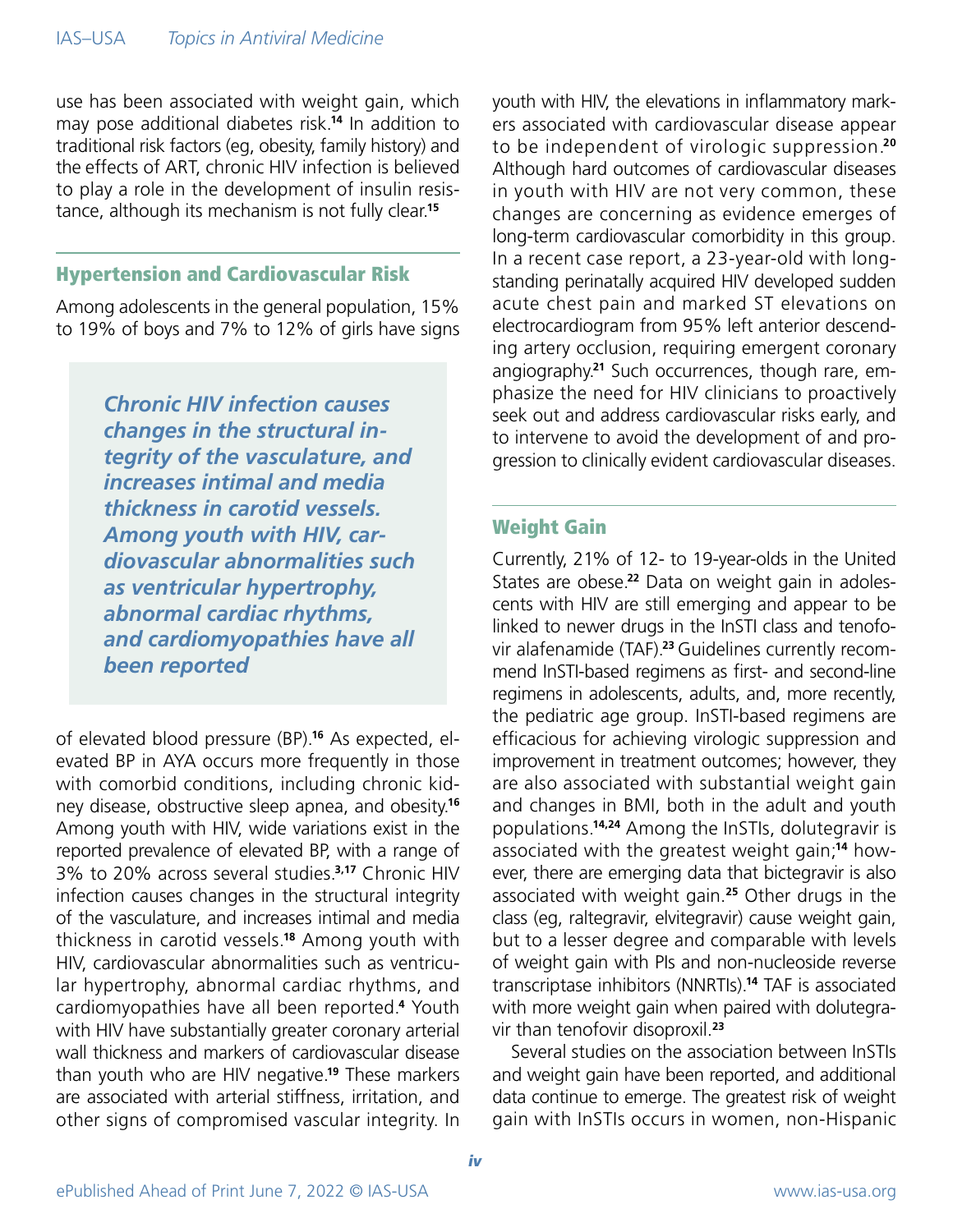use has been associated with weight gain, which may pose additional diabetes risk.**14** In addition to traditional risk factors (eg, obesity, family history) and the effects of ART, chronic HIV infection is believed to play a role in the development of insulin resistance, although its mechanism is not fully clear.**<sup>15</sup>**

# Hypertension and Cardiovascular Risk

Among adolescents in the general population, 15% to 19% of boys and 7% to 12% of girls have signs

> *Chronic HIV infection causes changes in the structural integrity of the vasculature, and increases intimal and media thickness in carotid vessels. Among youth with HIV, cardiovascular abnormalities such as ventricular hypertrophy, abnormal cardiac rhythms, and cardiomyopathies have all been reported*

of elevated blood pressure (BP).**16** As expected, elevated BP in AYA occurs more frequently in those with comorbid conditions, including chronic kidney disease, obstructive sleep apnea, and obesity.**<sup>16</sup>** Among youth with HIV, wide variations exist in the reported prevalence of elevated BP, with a range of 3% to 20% across several studies.**3,17** Chronic HIV infection causes changes in the structural integrity of the vasculature, and increases intimal and media thickness in carotid vessels.**18** Among youth with HIV, cardiovascular abnormalities such as ventricular hypertrophy, abnormal cardiac rhythms, and cardiomyopathies have all been reported.**<sup>4</sup>** Youth with HIV have substantially greater coronary arterial wall thickness and markers of cardiovascular disease than youth who are HIV negative.**19** These markers are associated with arterial stiffness, irritation, and other signs of compromised vascular integrity. In

youth with HIV, the elevations in inflammatory markers associated with cardiovascular disease appear to be independent of virologic suppression.**<sup>20</sup>** Although hard outcomes of cardiovascular diseases in youth with HIV are not very common, these changes are concerning as evidence emerges of long-term cardiovascular comorbidity in this group. In a recent case report, a 23-year-old with longstanding perinatally acquired HIV developed sudden acute chest pain and marked ST elevations on electrocardiogram from 95% left anterior descending artery occlusion, requiring emergent coronary angiography.**21** Such occurrences, though rare, emphasize the need for HIV clinicians to proactively seek out and address cardiovascular risks early, and to intervene to avoid the development of and progression to clinically evident cardiovascular diseases.

### Weight Gain

Currently, 21% of 12- to 19-year-olds in the United States are obese.**22** Data on weight gain in adolescents with HIV are still emerging and appear to be linked to newer drugs in the InSTI class and tenofovir alafenamide (TAF).**23** Guidelines currently recommend InSTI-based regimens as first- and second-line regimens in adolescents, adults, and, more recently, the pediatric age group. InSTI-based regimens are efficacious for achieving virologic suppression and improvement in treatment outcomes; however, they are also associated with substantial weight gain and changes in BMI, both in the adult and youth populations.**14,24** Among the InSTIs, dolutegravir is associated with the greatest weight gain;**14** however, there are emerging data that bictegravir is also associated with weight gain.**25** Other drugs in the class (eg, raltegravir, elvitegravir) cause weight gain, but to a lesser degree and comparable with levels of weight gain with PIs and non-nucleoside reverse transcriptase inhibitors (NNRTIs).**14** TAF is associated with more weight gain when paired with dolutegravir than tenofovir disoproxil.**<sup>23</sup>**

Several studies on the association between InSTIs and weight gain have been reported, and additional data continue to emerge. The greatest risk of weight gain with InSTIs occurs in women, non-Hispanic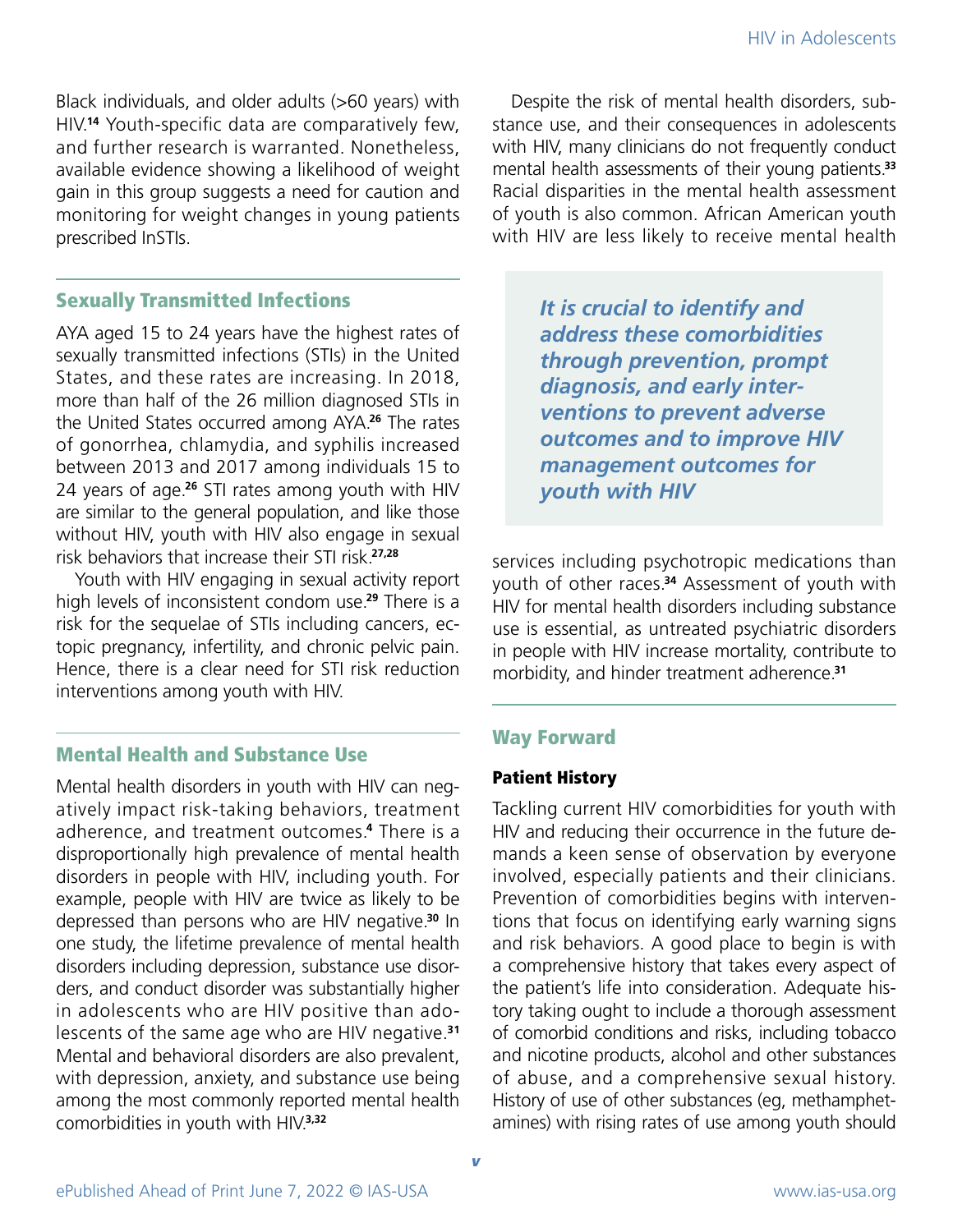Black individuals, and older adults (>60 years) with HIV.**14** Youth-specific data are comparatively few, and further research is warranted. Nonetheless, available evidence showing a likelihood of weight gain in this group suggests a need for caution and monitoring for weight changes in young patients prescribed InSTIs.

## Sexually Transmitted Infections

AYA aged 15 to 24 years have the highest rates of sexually transmitted infections (STIs) in the United States, and these rates are increasing. In 2018, more than half of the 26 million diagnosed STIs in the United States occurred among AYA.**26** The rates of gonorrhea, chlamydia, and syphilis increased between 2013 and 2017 among individuals 15 to 24 years of age.**26** STI rates among youth with HIV are similar to the general population, and like those without HIV, youth with HIV also engage in sexual risk behaviors that increase their STI risk.**27,28**

Youth with HIV engaging in sexual activity report high levels of inconsistent condom use.**29** There is a risk for the sequelae of STIs including cancers, ectopic pregnancy, infertility, and chronic pelvic pain. Hence, there is a clear need for STI risk reduction interventions among youth with HIV.

# Mental Health and Substance Use

Mental health disorders in youth with HIV can negatively impact risk-taking behaviors, treatment adherence, and treatment outcomes.**4** There is a disproportionally high prevalence of mental health disorders in people with HIV, including youth. For example, people with HIV are twice as likely to be depressed than persons who are HIV negative.**30** In one study, the lifetime prevalence of mental health disorders including depression, substance use disorders, and conduct disorder was substantially higher in adolescents who are HIV positive than adolescents of the same age who are HIV negative.**<sup>31</sup>** Mental and behavioral disorders are also prevalent, with depression, anxiety, and substance use being among the most commonly reported mental health comorbidities in youth with HIV.**3,32**

Despite the risk of mental health disorders, substance use, and their consequences in adolescents with HIV, many clinicians do not frequently conduct mental health assessments of their young patients.**<sup>33</sup>** Racial disparities in the mental health assessment of youth is also common. African American youth with HIV are less likely to receive mental health

> *It is crucial to identify and address these comorbidities through prevention, prompt diagnosis, and early interventions to prevent adverse outcomes and to improve HIV management outcomes for youth with HIV*

services including psychotropic medications than youth of other races.**34** Assessment of youth with HIV for mental health disorders including substance use is essential, as untreated psychiatric disorders in people with HIV increase mortality, contribute to morbidity, and hinder treatment adherence.**<sup>31</sup>**

# Way Forward

#### Patient History

Tackling current HIV comorbidities for youth with HIV and reducing their occurrence in the future demands a keen sense of observation by everyone involved, especially patients and their clinicians. Prevention of comorbidities begins with interventions that focus on identifying early warning signs and risk behaviors. A good place to begin is with a comprehensive history that takes every aspect of the patient's life into consideration. Adequate history taking ought to include a thorough assessment of comorbid conditions and risks, including tobacco and nicotine products, alcohol and other substances of abuse, and a comprehensive sexual history. History of use of other substances (eg, methamphetamines) with rising rates of use among youth should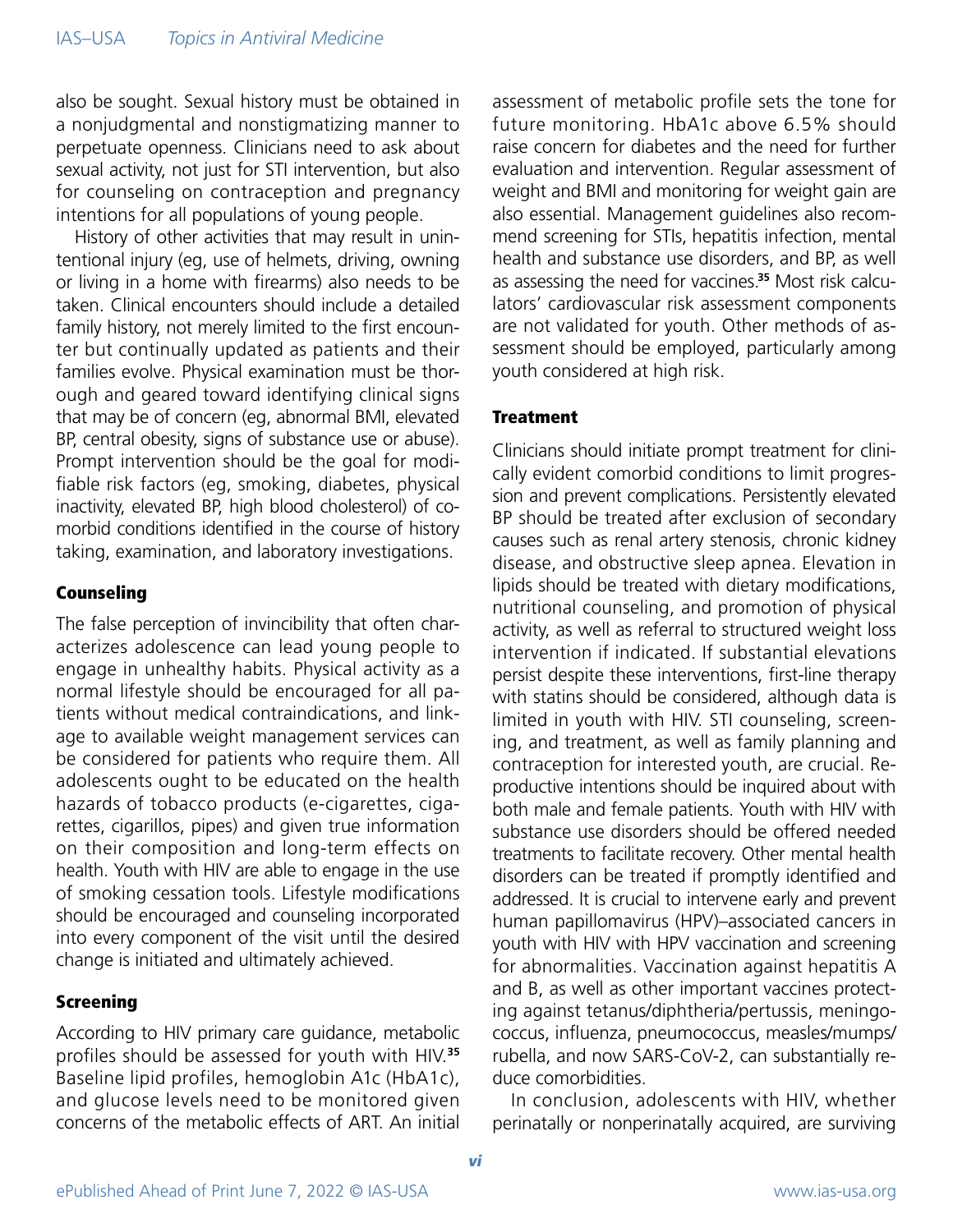also be sought. Sexual history must be obtained in a nonjudgmental and nonstigmatizing manner to perpetuate openness. Clinicians need to ask about sexual activity, not just for STI intervention, but also for counseling on contraception and pregnancy intentions for all populations of young people.

History of other activities that may result in unintentional injury (eg, use of helmets, driving, owning or living in a home with firearms) also needs to be taken. Clinical encounters should include a detailed family history, not merely limited to the first encounter but continually updated as patients and their families evolve. Physical examination must be thorough and geared toward identifying clinical signs that may be of concern (eg, abnormal BMI, elevated BP, central obesity, signs of substance use or abuse). Prompt intervention should be the goal for modifiable risk factors (eg, smoking, diabetes, physical inactivity, elevated BP, high blood cholesterol) of comorbid conditions identified in the course of history taking, examination, and laboratory investigations.

#### Counseling

The false perception of invincibility that often characterizes adolescence can lead young people to engage in unhealthy habits. Physical activity as a normal lifestyle should be encouraged for all patients without medical contraindications, and linkage to available weight management services can be considered for patients who require them. All adolescents ought to be educated on the health hazards of tobacco products (e-cigarettes, cigarettes, cigarillos, pipes) and given true information on their composition and long-term effects on health. Youth with HIV are able to engage in the use of smoking cessation tools. Lifestyle modifications should be encouraged and counseling incorporated into every component of the visit until the desired change is initiated and ultimately achieved.

#### Screening

According to HIV primary care guidance, metabolic profiles should be assessed for youth with HIV.**<sup>35</sup>** Baseline lipid profiles, hemoglobin A1c (HbA1c), and glucose levels need to be monitored given concerns of the metabolic effects of ART. An initial

assessment of metabolic profile sets the tone for future monitoring. HbA1c above 6.5% should raise concern for diabetes and the need for further evaluation and intervention. Regular assessment of weight and BMI and monitoring for weight gain are also essential. Management guidelines also recommend screening for STIs, hepatitis infection, mental health and substance use disorders, and BP, as well as assessing the need for vaccines.**35** Most risk calculators' cardiovascular risk assessment components are not validated for youth. Other methods of assessment should be employed, particularly among youth considered at high risk.

#### **Treatment**

Clinicians should initiate prompt treatment for clinically evident comorbid conditions to limit progression and prevent complications. Persistently elevated BP should be treated after exclusion of secondary causes such as renal artery stenosis, chronic kidney disease, and obstructive sleep apnea. Elevation in lipids should be treated with dietary modifications, nutritional counseling, and promotion of physical activity, as well as referral to structured weight loss intervention if indicated. If substantial elevations persist despite these interventions, first-line therapy with statins should be considered, although data is limited in youth with HIV. STI counseling, screening, and treatment, as well as family planning and contraception for interested youth, are crucial. Reproductive intentions should be inquired about with both male and female patients. Youth with HIV with substance use disorders should be offered needed treatments to facilitate recovery. Other mental health disorders can be treated if promptly identified and addressed. It is crucial to intervene early and prevent human papillomavirus (HPV)–associated cancers in youth with HIV with HPV vaccination and screening for abnormalities. Vaccination against hepatitis A and B, as well as other important vaccines protecting against tetanus/diphtheria/pertussis, meningococcus, influenza, pneumococcus, measles/mumps/ rubella, and now SARS-CoV-2, can substantially reduce comorbidities.

In conclusion, adolescents with HIV, whether perinatally or nonperinatally acquired, are surviving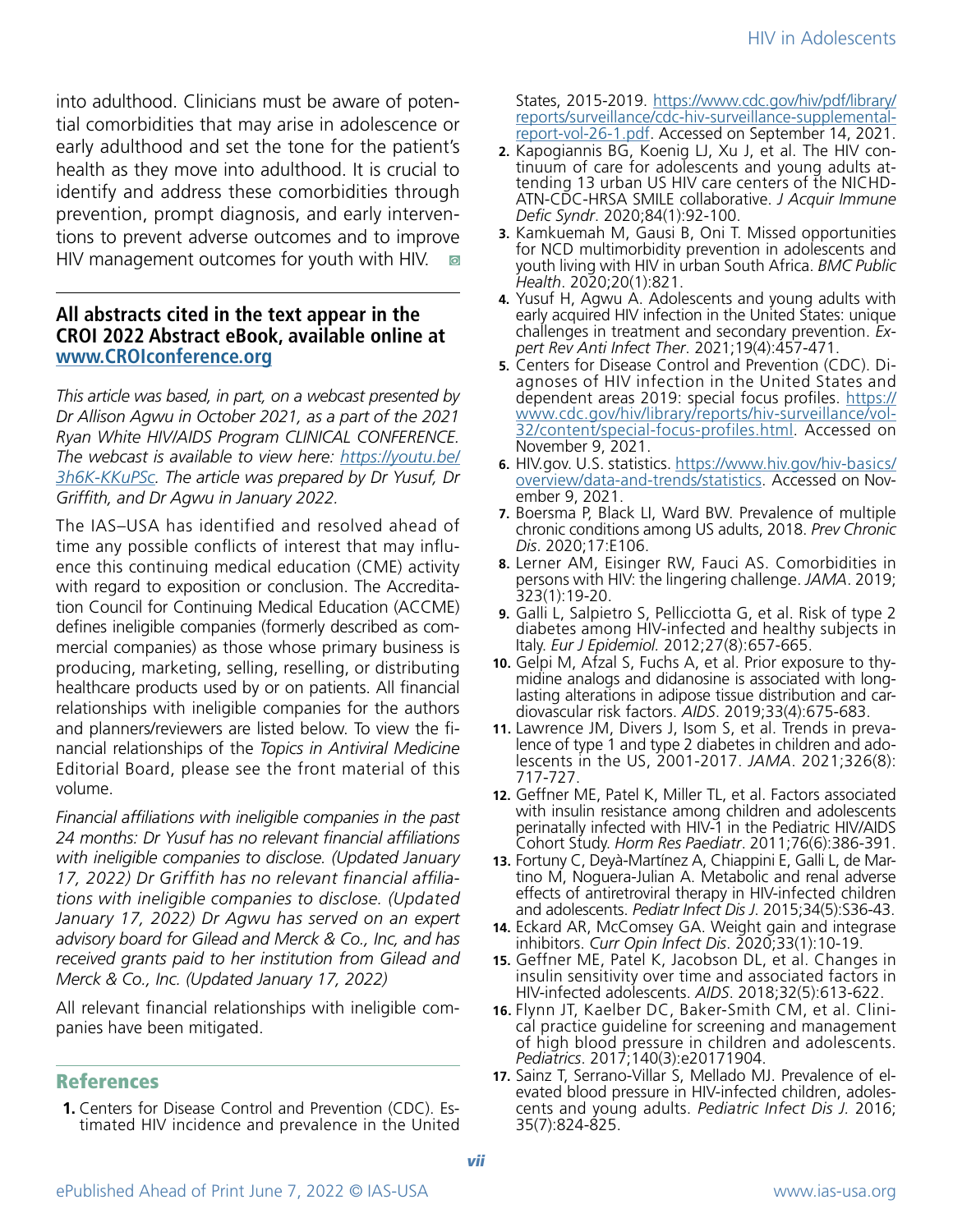into adulthood. Clinicians must be aware of potential comorbidities that may arise in adolescence or early adulthood and set the tone for the patient's health as they move into adulthood. It is crucial to identify and address these comorbidities through prevention, prompt diagnosis, and early interventions to prevent adverse outcomes and to improve HIV management outcomes for youth with HIV.  $\odot$ 

#### **All abstracts cited in the text appear in the CROI 2022 Abstract eBook, available online at <www.CROIconference.org>**

*This article was based, in part, on a webcast presented by Dr Allison Agwu in October 2021, as a part of the 2021 Ryan White HIV/AIDS Program CLINICAL CONFERENCE. The webcast is available to view here: [https://youtu.be/](https://www.youtube.com/watch?v=3h6K-KKuPSc) [3h6K-KKuPSc.](https://www.youtube.com/watch?v=3h6K-KKuPSc) The article was prepared by Dr Yusuf, Dr Griffith, and Dr Agwu in January 2022.*

The IAS–USA has identified and resolved ahead of time any possible conflicts of interest that may influence this continuing medical education (CME) activity with regard to exposition or conclusion. The Accreditation Council for Continuing Medical Education (ACCME) defines ineligible companies (formerly described as commercial companies) as those whose primary business is producing, marketing, selling, reselling, or distributing healthcare products used by or on patients. All financial relationships with ineligible companies for the authors and planners/reviewers are listed below. To view the financial relationships of the *Topics in Antiviral Medicine*  Editorial Board, please see the front material of this volume.

*Financial affiliations with ineligible companies in the past 24 months: Dr Yusuf has no relevant financial affiliations with ineligible companies to disclose. (Updated January 17, 2022) Dr Griffith has no relevant financial affiliations with ineligible companies to disclose. (Updated January 17, 2022) Dr Agwu has served on an expert advisory board for Gilead and Merck & Co., Inc, and has received grants paid to her institution from Gilead and Merck & Co., Inc. (Updated January 17, 2022)*

All relevant financial relationships with ineligible companies have been mitigated.

#### References

**1.** Centers for Disease Control and Prevention (CDC). Estimated HIV incidence and prevalence in the United States, 2015-2019. [https://www.cdc.gov/hiv/pdf/library/](https://www.cdc.gov/hiv/pdf/library/reports/surveillance/cdc-hiv-surveillance-supplemental-report-vol-26-1.pdf) [reports/surveillance/cdc-hiv-surveillance-supplemental](https://www.cdc.gov/hiv/pdf/library/reports/surveillance/cdc-hiv-surveillance-supplemental-report-vol-26-1.pdf)[report-vol-26-1.pdf.](https://www.cdc.gov/hiv/pdf/library/reports/surveillance/cdc-hiv-surveillance-supplemental-report-vol-26-1.pdf) Accessed on September 14, 2021.

- **2.** Kapogiannis BG, Koenig LJ, Xu J, et al. The HIV continuum of care for adolescents and young adults at- tending 13 urban US HIV care centers of the NICHD-ATN-CDC-HRSA SMILE collaborative. *J Acquir Immune Defic Syndr*. 2020;84(1):92-100.
- **3.** Kamkuemah M, Gausi B, Oni T. Missed opportunities for NCD multimorbidity prevention in adolescents and youth living with HIV in urban South Africa. *BMC Public Health*. 2020;20(1):821.
- **4.** Yusuf H, Agwu A. Adolescents and young adults with early acquired HIV infection in the United States: unique challenges in treatment and secondary prevention. *Expert Rev Anti Infect Ther*. 2021;19(4):457-471.
- **5.** Centers for Disease Control and Prevention (CDC). Diagnoses of HIV infection in the United States and dependent areas 2019: special focus profiles. [https://](https://www.cdc.gov/hiv/library/reports/hiv-surveillance/vol-32/content/special-focus-profiles.html) [www.cdc.gov/hiv/library/reports/hiv-surveillance/vol-](https://www.cdc.gov/hiv/library/reports/hiv-surveillance/vol-32/content/special-focus-profiles.html)[32/content/special-focus-profiles.html.](https://www.cdc.gov/hiv/library/reports/hiv-surveillance/vol-32/content/special-focus-profiles.html) Accessed on November 9, 2021.
- **6.** HIV.gov. U.S. statistics. [https://www.hiv.gov/hiv-basics/](https://www.hiv.gov/hiv-basics/overview/data-and-trends/statistics) [overview/data-and-trends/statistics.](https://www.hiv.gov/hiv-basics/overview/data-and-trends/statistics) Accessed on November 9, 2021.
- **7.** Boersma P, Black LI, Ward BW. Prevalence of multiple chronic conditions among US adults, 2018. *Prev Chronic Dis*. 2020;17:E106.
- **8.** Lerner AM, Eisinger RW, Fauci AS. Comorbidities in persons with HIV: the lingering challenge. *JAMA*. 2019; 323(1):19-20.
- **9.** Galli L, Salpietro S, Pellicciotta G, et al. Risk of type 2 diabetes among HIV-infected and healthy subjects in Italy. *Eur J Epidemiol.* 2012;27(8):657-665.
- **10.** Gelpi M, Afzal S, Fuchs A, et al. Prior exposure to thymidine analogs and didanosine is associated with longlasting alterations in adipose tissue distribution and cardiovascular risk factors. *AIDS*. 2019;33(4):675-683.
- **11.** Lawrence JM, Divers J, Isom S, et al. Trends in prevalence of type 1 and type 2 diabetes in children and adolescents in the US, 2001-2017. *JAMA*. 2021;326(8): 717-727.
- **12.** Geffner ME, Patel K, Miller TL, et al. Factors associated with insulin resistance among children and adolescents perinatally infected with HIV-1 in the Pediatric HIV/AIDS Cohort Study. *Horm Res Paediatr*. 2011;76(6):386-391.
- **13.** Fortuny C, Deyà-Martínez A, Chiappini E, Galli L, de Martino M, Noguera-Julian A. Metabolic and renal adverse effects of antiretroviral therapy in HIV-infected children and adolescents. *Pediatr Infect Dis J*. 2015;34(5):S36-43.
- **14.** Eckard AR, McComsey GA. Weight gain and integrase inhibitors. *Curr Opin Infect Dis*. 2020;33(1):10-19.
- **15.** Geffner ME, Patel K, Jacobson DL, et al. Changes in insulin sensitivity over time and associated factors in HIV-infected adolescents. *AIDS*. 2018;32(5):613-622.
- **16.** Flynn JT, Kaelber DC, Baker-Smith CM, et al. Clinical practice guideline for screening and management of high blood pressure in children and adolescents. *Pediatrics*. 2017;140(3):e20171904.
- **17.** Sainz T, Serrano-Villar S, Mellado MJ. Prevalence of elevated blood pressure in HIV-infected children, adolescents and young adults. *Pediatric Infect Dis J.* 2016; 35(7):824-825.